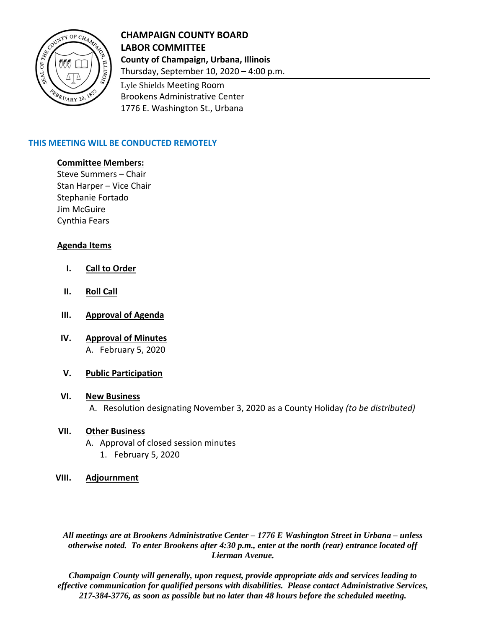

# **CHAMPAIGN COUNTY BOARD LABOR COMMITTEE County of Champaign, Urbana, Illinois**

Thursday, September 10, 2020 – 4:00 p.m.

Lyle Shields Meeting Room Brookens Administrative Center 1776 E. Washington St., Urbana

# **THIS MEETING WILL BE CONDUCTED REMOTELY**

### **Committee Members:**

Steve Summers – Chair Stan Harper – Vice Chair Stephanie Fortado Jim McGuire Cynthia Fears

# **Agenda Items**

- **I. Call to Order**
- **II. Roll Call**
- **III. Approval of Agenda**
- **IV. Approval of Minutes** A. February 5, 2020

#### **V. Public Participation**

#### **VI. New Business**

A. Resolution designating November 3, 2020 as a County Holiday *(to be distributed)*

## **VII. Other Business**

A. Approval of closed session minutes 1. February 5, 2020

#### **VIII. Adjournment**

*All meetings are at Brookens Administrative Center – 1776 E Washington Street in Urbana – unless otherwise noted. To enter Brookens after 4:30 p.m., enter at the north (rear) entrance located off Lierman Avenue.* 

*Champaign County will generally, upon request, provide appropriate aids and services leading to effective communication for qualified persons with disabilities. Please contact Administrative Services, 217-384-3776, as soon as possible but no later than 48 hours before the scheduled meeting.*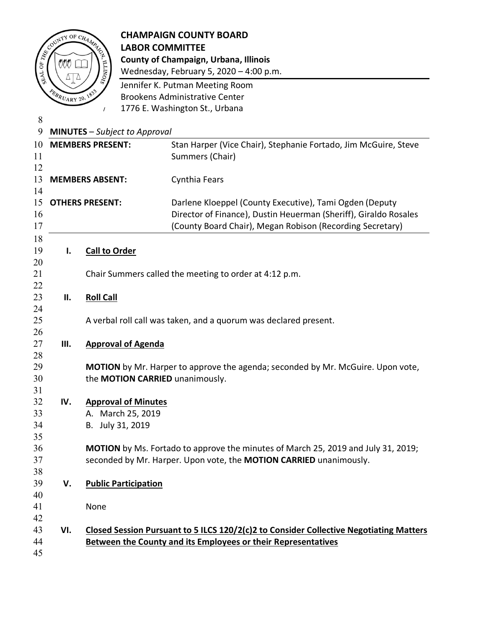|                |                          | <b>CHAMPAIGN COUNTY BOARD</b>                                                                                                                                                                                      |
|----------------|--------------------------|--------------------------------------------------------------------------------------------------------------------------------------------------------------------------------------------------------------------|
|                | ASSESSMENT OF CHARGE     | <b>LABOR COMMITTEE</b>                                                                                                                                                                                             |
|                |                          | County of Champaign, Urbana, Illinois                                                                                                                                                                              |
|                |                          | Wednesday, February 5, 2020 - 4:00 p.m.                                                                                                                                                                            |
|                |                          | Jennifer K. Putman Meeting Room                                                                                                                                                                                    |
|                | <b>FEBRUARY 20, 1833</b> | <b>Brookens Administrative Center</b>                                                                                                                                                                              |
|                |                          | 1776 E. Washington St., Urbana<br>$\prime$                                                                                                                                                                         |
| 8              |                          |                                                                                                                                                                                                                    |
| 9              |                          | <b>MINUTES</b> - Subject to Approval                                                                                                                                                                               |
| 10<br>11       |                          | <b>MEMBERS PRESENT:</b><br>Stan Harper (Vice Chair), Stephanie Fortado, Jim McGuire, Steve<br>Summers (Chair)                                                                                                      |
| 12<br>13<br>14 |                          | Cynthia Fears<br><b>MEMBERS ABSENT:</b>                                                                                                                                                                            |
| 15<br>16<br>17 |                          | <b>OTHERS PRESENT:</b><br>Darlene Kloeppel (County Executive), Tami Ogden (Deputy<br>Director of Finance), Dustin Heuerman (Sheriff), Giraldo Rosales<br>(County Board Chair), Megan Robison (Recording Secretary) |
| 18             |                          |                                                                                                                                                                                                                    |
| 19             | Ι.                       | <b>Call to Order</b>                                                                                                                                                                                               |
| 20             |                          |                                                                                                                                                                                                                    |
| 21             |                          | Chair Summers called the meeting to order at 4:12 p.m.                                                                                                                                                             |
| 22<br>23       | ΙΙ.                      | <b>Roll Call</b>                                                                                                                                                                                                   |
| 24             |                          |                                                                                                                                                                                                                    |
| 25             |                          | A verbal roll call was taken, and a quorum was declared present.                                                                                                                                                   |
| 26             |                          |                                                                                                                                                                                                                    |
| 27             | Ш.                       | <b>Approval of Agenda</b>                                                                                                                                                                                          |
| 28             |                          |                                                                                                                                                                                                                    |
| 29             |                          | <b>MOTION</b> by Mr. Harper to approve the agenda; seconded by Mr. McGuire. Upon vote,                                                                                                                             |
| 30             |                          | the MOTION CARRIED unanimously.                                                                                                                                                                                    |
| 31             |                          |                                                                                                                                                                                                                    |
| 32             | IV.                      | <b>Approval of Minutes</b>                                                                                                                                                                                         |
| 33             |                          | A. March 25, 2019                                                                                                                                                                                                  |
| 34<br>35       |                          | B. July 31, 2019                                                                                                                                                                                                   |
| 36             |                          | MOTION by Ms. Fortado to approve the minutes of March 25, 2019 and July 31, 2019;                                                                                                                                  |
| 37             |                          | seconded by Mr. Harper. Upon vote, the MOTION CARRIED unanimously.                                                                                                                                                 |
| 38             |                          |                                                                                                                                                                                                                    |
| 39             | V.                       | <b>Public Participation</b>                                                                                                                                                                                        |
| 40             |                          |                                                                                                                                                                                                                    |
| 41             |                          | None                                                                                                                                                                                                               |
| 42             |                          |                                                                                                                                                                                                                    |
| 43             | VI.                      | Closed Session Pursuant to 5 ILCS 120/2(c)2 to Consider Collective Negotiating Matters                                                                                                                             |
| 44             |                          | Between the County and its Employees or their Representatives                                                                                                                                                      |
| 45             |                          |                                                                                                                                                                                                                    |